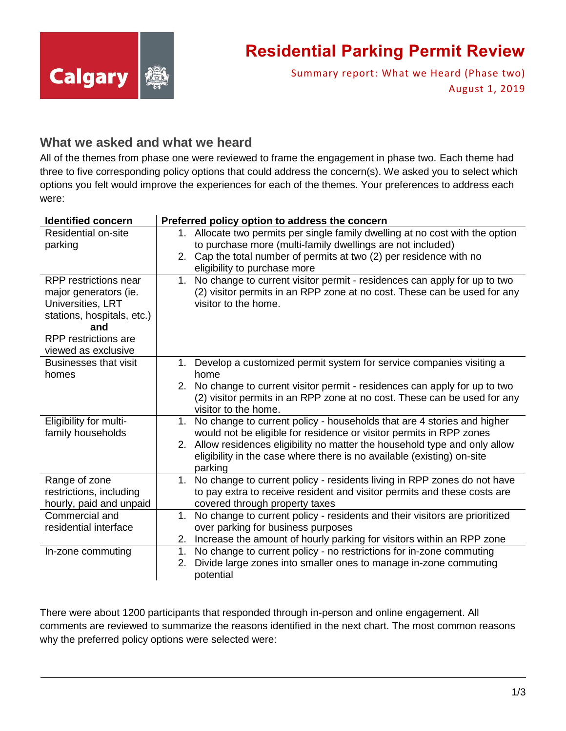

### **Residential Parking Permit Review**

Summary report: What we Heard (Phase two) August 1, 2019

### **What we asked and what we heard**

All of the themes from phase one were reviewed to frame the engagement in phase two. Each theme had three to five corresponding policy options that could address the concern(s). We asked you to select which options you felt would improve the experiences for each of the themes. Your preferences to address each were:

| <b>Identified concern</b>    | Preferred policy option to address the concern                                            |
|------------------------------|-------------------------------------------------------------------------------------------|
| <b>Residential on-site</b>   | 1. Allocate two permits per single family dwelling at no cost with the option             |
| parking                      | to purchase more (multi-family dwellings are not included)                                |
|                              | 2. Cap the total number of permits at two (2) per residence with no                       |
|                              | eligibility to purchase more                                                              |
| RPP restrictions near        | No change to current visitor permit - residences can apply for up to two<br>1.            |
| major generators (ie.        | (2) visitor permits in an RPP zone at no cost. These can be used for any                  |
| Universities, LRT            | visitor to the home.                                                                      |
| stations, hospitals, etc.)   |                                                                                           |
| and                          |                                                                                           |
| <b>RPP</b> restrictions are  |                                                                                           |
| viewed as exclusive          |                                                                                           |
| <b>Businesses that visit</b> | 1. Develop a customized permit system for service companies visiting a                    |
| homes                        | home                                                                                      |
|                              | 2. No change to current visitor permit - residences can apply for up to two               |
|                              | (2) visitor permits in an RPP zone at no cost. These can be used for any                  |
|                              | visitor to the home.                                                                      |
| Eligibility for multi-       | No change to current policy - households that are 4 stories and higher<br>1.              |
| family households            | would not be eligible for residence or visitor permits in RPP zones                       |
|                              | 2. Allow residences eligibility no matter the household type and only allow               |
|                              | eligibility in the case where there is no available (existing) on-site                    |
|                              | parking                                                                                   |
| Range of zone                | No change to current policy - residents living in RPP zones do not have<br>1 <sub>1</sub> |
| restrictions, including      | to pay extra to receive resident and visitor permits and these costs are                  |
| hourly, paid and unpaid      | covered through property taxes                                                            |
| Commercial and               | No change to current policy - residents and their visitors are prioritized<br>$1_{-}$     |
| residential interface        | over parking for business purposes                                                        |
|                              | Increase the amount of hourly parking for visitors within an RPP zone<br>2.               |
| In-zone commuting            | No change to current policy - no restrictions for in-zone commuting<br>1.                 |
|                              | Divide large zones into smaller ones to manage in-zone commuting<br>2.                    |
|                              | potential                                                                                 |

There were about 1200 participants that responded through in-person and online engagement. All comments are reviewed to summarize the reasons identified in the next chart. The most common reasons why the preferred policy options were selected were: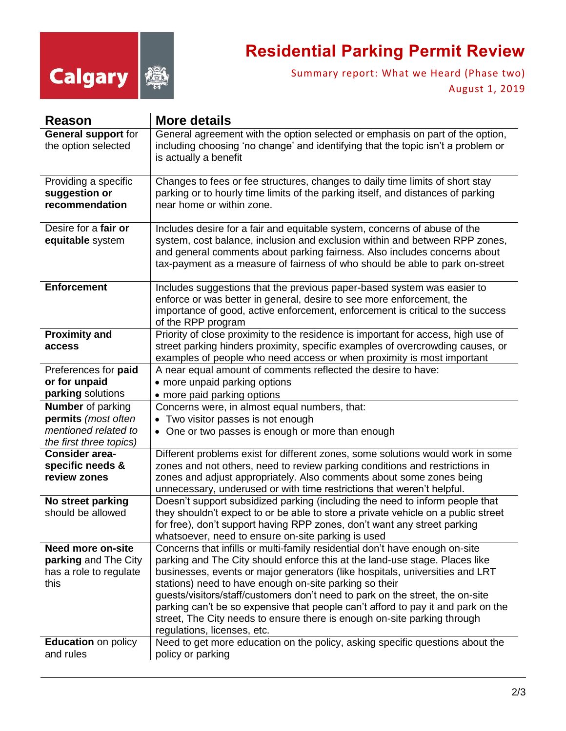

# **Residential Parking Permit Review**

Summary report: What we Heard (Phase two) August 1, 2019

| Reason                     | <b>More details</b>                                                                                                                                    |
|----------------------------|--------------------------------------------------------------------------------------------------------------------------------------------------------|
| <b>General support for</b> | General agreement with the option selected or emphasis on part of the option,                                                                          |
| the option selected        | including choosing 'no change' and identifying that the topic isn't a problem or                                                                       |
|                            | is actually a benefit                                                                                                                                  |
|                            |                                                                                                                                                        |
| Providing a specific       | Changes to fees or fee structures, changes to daily time limits of short stay                                                                          |
| suggestion or              | parking or to hourly time limits of the parking itself, and distances of parking                                                                       |
| recommendation             | near home or within zone.                                                                                                                              |
| Desire for a fair or       | Includes desire for a fair and equitable system, concerns of abuse of the                                                                              |
| equitable system           | system, cost balance, inclusion and exclusion within and between RPP zones,                                                                            |
|                            | and general comments about parking fairness. Also includes concerns about                                                                              |
|                            | tax-payment as a measure of fairness of who should be able to park on-street                                                                           |
|                            |                                                                                                                                                        |
| <b>Enforcement</b>         | Includes suggestions that the previous paper-based system was easier to                                                                                |
|                            | enforce or was better in general, desire to see more enforcement, the                                                                                  |
|                            | importance of good, active enforcement, enforcement is critical to the success                                                                         |
| <b>Proximity and</b>       | of the RPP program<br>Priority of close proximity to the residence is important for access, high use of                                                |
| access                     | street parking hinders proximity, specific examples of overcrowding causes, or                                                                         |
|                            | examples of people who need access or when proximity is most important                                                                                 |
| Preferences for paid       | A near equal amount of comments reflected the desire to have:                                                                                          |
| or for unpaid              | • more unpaid parking options                                                                                                                          |
| parking solutions          | • more paid parking options                                                                                                                            |
| <b>Number</b> of parking   | Concerns were, in almost equal numbers, that:                                                                                                          |
| permits (most often        | • Two visitor passes is not enough                                                                                                                     |
| mentioned related to       | • One or two passes is enough or more than enough                                                                                                      |
| the first three topics)    |                                                                                                                                                        |
| <b>Consider area-</b>      | Different problems exist for different zones, some solutions would work in some                                                                        |
| specific needs &           | zones and not others, need to review parking conditions and restrictions in                                                                            |
| review zones               | zones and adjust appropriately. Also comments about some zones being                                                                                   |
| No street parking          | unnecessary, underused or with time restrictions that weren't helpful.<br>Doesn't support subsidized parking (including the need to inform people that |
| should be allowed          | they shouldn't expect to or be able to store a private vehicle on a public street                                                                      |
|                            | for free), don't support having RPP zones, don't want any street parking                                                                               |
|                            | whatsoever, need to ensure on-site parking is used                                                                                                     |
| <b>Need more on-site</b>   | Concerns that infills or multi-family residential don't have enough on-site                                                                            |
| parking and The City       | parking and The City should enforce this at the land-use stage. Places like                                                                            |
| has a role to regulate     | businesses, events or major generators (like hospitals, universities and LRT                                                                           |
| this                       | stations) need to have enough on-site parking so their                                                                                                 |
|                            | guests/visitors/staff/customers don't need to park on the street, the on-site                                                                          |
|                            | parking can't be so expensive that people can't afford to pay it and park on the                                                                       |
|                            | street, The City needs to ensure there is enough on-site parking through                                                                               |
|                            | regulations, licenses, etc.                                                                                                                            |
| <b>Education</b> on policy | Need to get more education on the policy, asking specific questions about the                                                                          |
| and rules                  | policy or parking                                                                                                                                      |